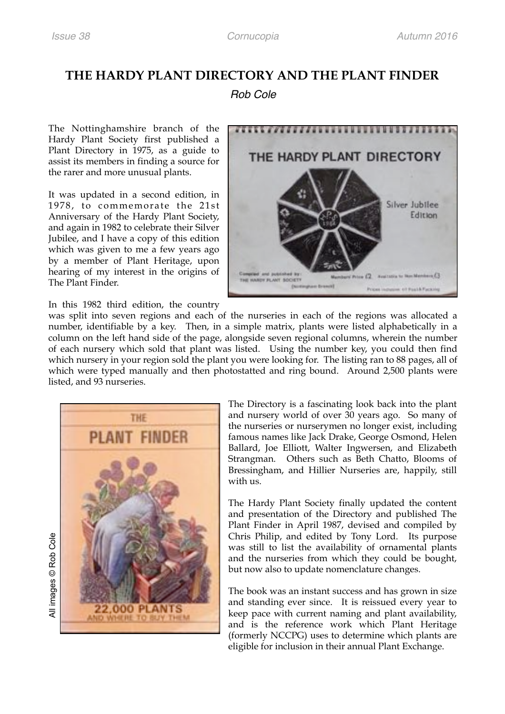## **THE HARDY PLANT DIRECTORY AND THE PLANT FINDER**

## *Rob Cole*

The Nottinghamshire branch of the Hardy Plant Society first published a Plant Directory in 1975, as a guide to assist its members in finding a source for the rarer and more unusual plants.

It was updated in a second edition, in 1978, to commemorate the 21st Anniversary of the Hardy Plant Society, and again in 1982 to celebrate their Silver Jubilee, and I have a copy of this edition which was given to me a few years ago by a member of Plant Heritage, upon hearing of my interest in the origins of The Plant Finder.



In this 1982 third edition, the country

was split into seven regions and each of the nurseries in each of the regions was allocated a number, identifiable by a key. Then, in a simple matrix, plants were listed alphabetically in a column on the left hand side of the page, alongside seven regional columns, wherein the number of each nursery which sold that plant was listed. Using the number key, you could then find which nursery in your region sold the plant you were looking for. The listing ran to 88 pages, all of which were typed manually and then photostatted and ring bound. Around 2,500 plants were listed, and 93 nurseries.



The Directory is a fascinating look back into the plant and nursery world of over 30 years ago. So many of the nurseries or nurserymen no longer exist, including famous names like Jack Drake, George Osmond, Helen Ballard, Joe Elliott, Walter Ingwersen, and Elizabeth Strangman. Others such as Beth Chatto, Blooms of Bressingham, and Hillier Nurseries are, happily, still with us.

The Hardy Plant Society finally updated the content and presentation of the Directory and published The Plant Finder in April 1987, devised and compiled by Chris Philip, and edited by Tony Lord. Its purpose was still to list the availability of ornamental plants and the nurseries from which they could be bought, but now also to update nomenclature changes.

The book was an instant success and has grown in size and standing ever since. It is reissued every year to keep pace with current naming and plant availability, and is the reference work which Plant Heritage (formerly NCCPG) uses to determine which plants are eligible for inclusion in their annual Plant Exchange.